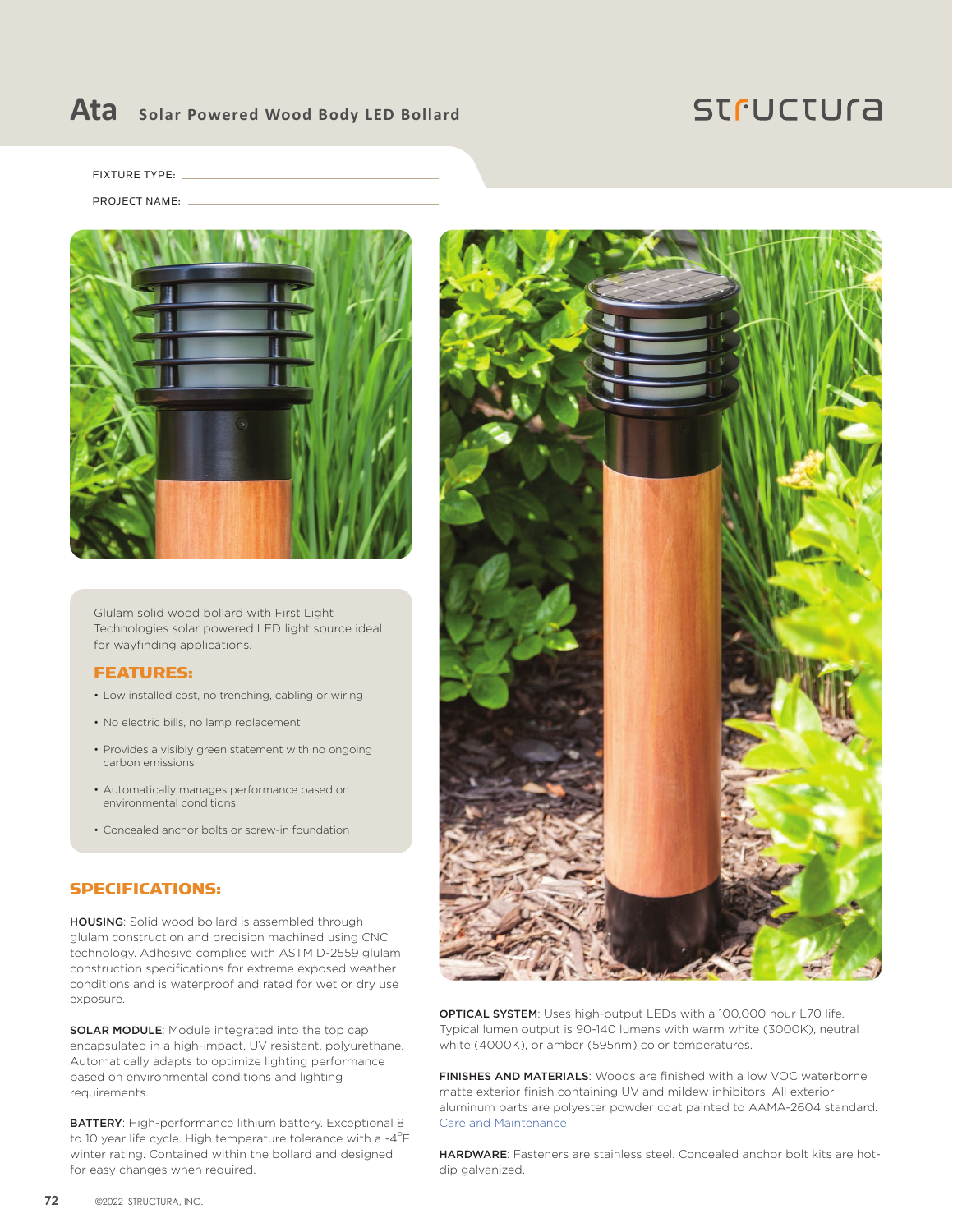### **Ata Solar Powered Wood Body LED Bollard**

## **STFUCTUra**

FIXTURE TYPE:

PROJECT NAME:



Glulam solid wood bollard with First Light Technologies solar powered LED light source ideal for wayfinding applications.

#### FEATURES:

- Low installed cost, no trenching, cabling or wiring
- No electric bills, no lamp replacement
- Provides a visibly green statement with no ongoing carbon emissions
- Automatically manages performance based on environmental conditions
- Concealed anchor bolts or screw-in foundation

#### SPECIFICATIONS:

HOUSING: Solid wood bollard is assembled through glulam construction and precision machined using CNC technology. Adhesive complies with ASTM D-2559 glulam construction specifications for extreme exposed weather conditions and is waterproof and rated for wet or dry use exposure.

SOLAR MODULE: Module integrated into the top cap encapsulated in a high-impact, UV resistant, polyurethane. Automatically adapts to optimize lighting performance based on environmental conditions and lighting requirements.

BATTERY: High-performance lithium battery. Exceptional 8 to 10 year life cycle. High temperature tolerance with a -4 $\mathrm{^{\circ}F}$ winter rating. Contained within the bollard and designed for easy changes when required.



OPTICAL SYSTEM: Uses high-output LEDs with a 100,000 hour L70 life. Typical lumen output is 90-140 lumens with warm white (3000K), neutral white (4000K), or amber (595nm) color temperatures.

FINISHES AND MATERIALS: Woods are finished with a low VOC waterborne matte exterior finish containing UV and mildew inhibitors. All exterior aluminum parts are polyester powder coat painted to AAMA-2604 standard. [Care and Maintenance](https://structura.com/resources/care-maintenance)

HARDWARE: Fasteners are stainless steel. Concealed anchor bolt kits are hotdip galvanized.